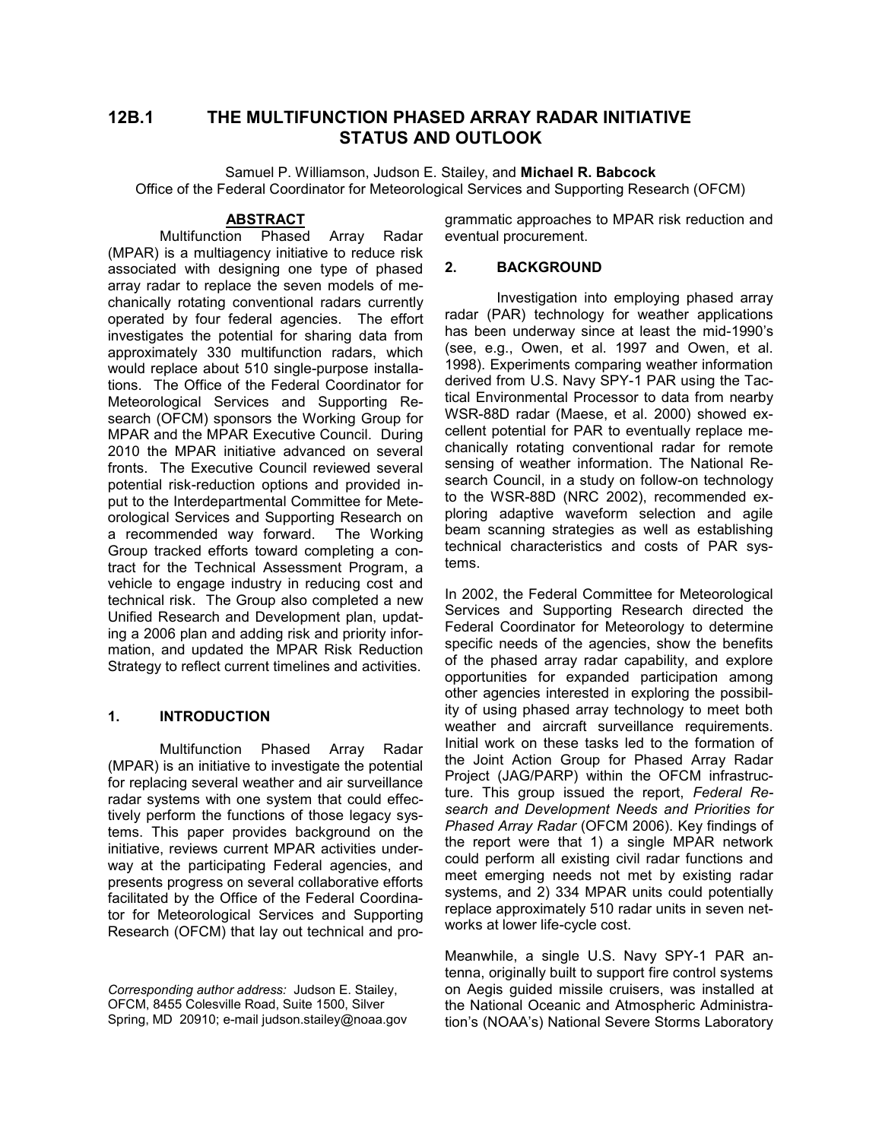# **12B.1 THE MULTIFUNCTION PHASED ARRAY RADAR INITIATIVE STATUS AND OUTLOOK**

Samuel P. Williamson, Judson E. Stailey, and **Michael R. Babcock** Office of the Federal Coordinator for Meteorological Services and Supporting Research (OFCM)

#### **ABSTRACT**

Multifunction Phased Array Radar (MPAR) is a multiagency initiative to reduce risk associated with designing one type of phased array radar to replace the seven models of mechanically rotating conventional radars currently operated by four federal agencies. The effort investigates the potential for sharing data from approximately 330 multifunction radars, which would replace about 510 single-purpose installations. The Office of the Federal Coordinator for Meteorological Services and Supporting Research (OFCM) sponsors the Working Group for MPAR and the MPAR Executive Council. During 2010 the MPAR initiative advanced on several fronts. The Executive Council reviewed several potential risk-reduction options and provided input to the Interdepartmental Committee for Meteorological Services and Supporting Research on a recommended way forward. The Working Group tracked efforts toward completing a contract for the Technical Assessment Program, a vehicle to engage industry in reducing cost and technical risk. The Group also completed a new Unified Research and Development plan, updating a 2006 plan and adding risk and priority information, and updated the MPAR Risk Reduction Strategy to reflect current timelines and activities.

# **1. INTRODUCTION**

Multifunction Phased Array Radar (MPAR) is an initiative to investigate the potential for replacing several weather and air surveillance radar systems with one system that could effectively perform the functions of those legacy systems. This paper provides background on the initiative, reviews current MPAR activities underway at the participating Federal agencies, and presents progress on several collaborative efforts facilitated by the Office of the Federal Coordinator for Meteorological Services and Supporting Research (OFCM) that lay out technical and programmatic approaches to MPAR risk reduction and eventual procurement.

# **2. BACKGROUND**

Investigation into employing phased array radar (PAR) technology for weather applications has been underway since at least the mid-1990's (see, e.g., Owen, et al. 1997 and Owen, et al. 1998). Experiments comparing weather information derived from U.S. Navy SPY-1 PAR using the Tactical Environmental Processor to data from nearby WSR-88D radar (Maese, et al. 2000) showed excellent potential for PAR to eventually replace mechanically rotating conventional radar for remote sensing of weather information. The National Research Council, in a study on follow-on technology to the WSR-88D (NRC 2002), recommended exploring adaptive waveform selection and agile beam scanning strategies as well as establishing technical characteristics and costs of PAR systems.

In 2002, the Federal Committee for Meteorological Services and Supporting Research directed the Federal Coordinator for Meteorology to determine specific needs of the agencies, show the benefits of the phased array radar capability, and explore opportunities for expanded participation among other agencies interested in exploring the possibility of using phased array technology to meet both weather and aircraft surveillance requirements. Initial work on these tasks led to the formation of the Joint Action Group for Phased Array Radar Project (JAG/PARP) within the OFCM infrastructure. This group issued the report, *Federal Research and Development Needs and Priorities for Phased Array Radar* (OFCM 2006). Key findings of the report were that 1) a single MPAR network could perform all existing civil radar functions and meet emerging needs not met by existing radar systems, and 2) 334 MPAR units could potentially replace approximately 510 radar units in seven networks at lower life-cycle cost.

Meanwhile, a single U.S. Navy SPY-1 PAR antenna, originally built to support fire control systems on Aegis guided missile cruisers, was installed at the National Oceanic and Atmospheric Administration's (NOAA's) National Severe Storms Laboratory

*Corresponding author address:* Judson E. Stailey, OFCM, 8455 Colesville Road, Suite 1500, Silver Spring, MD 20910; e-mail judson.stailey@noaa.gov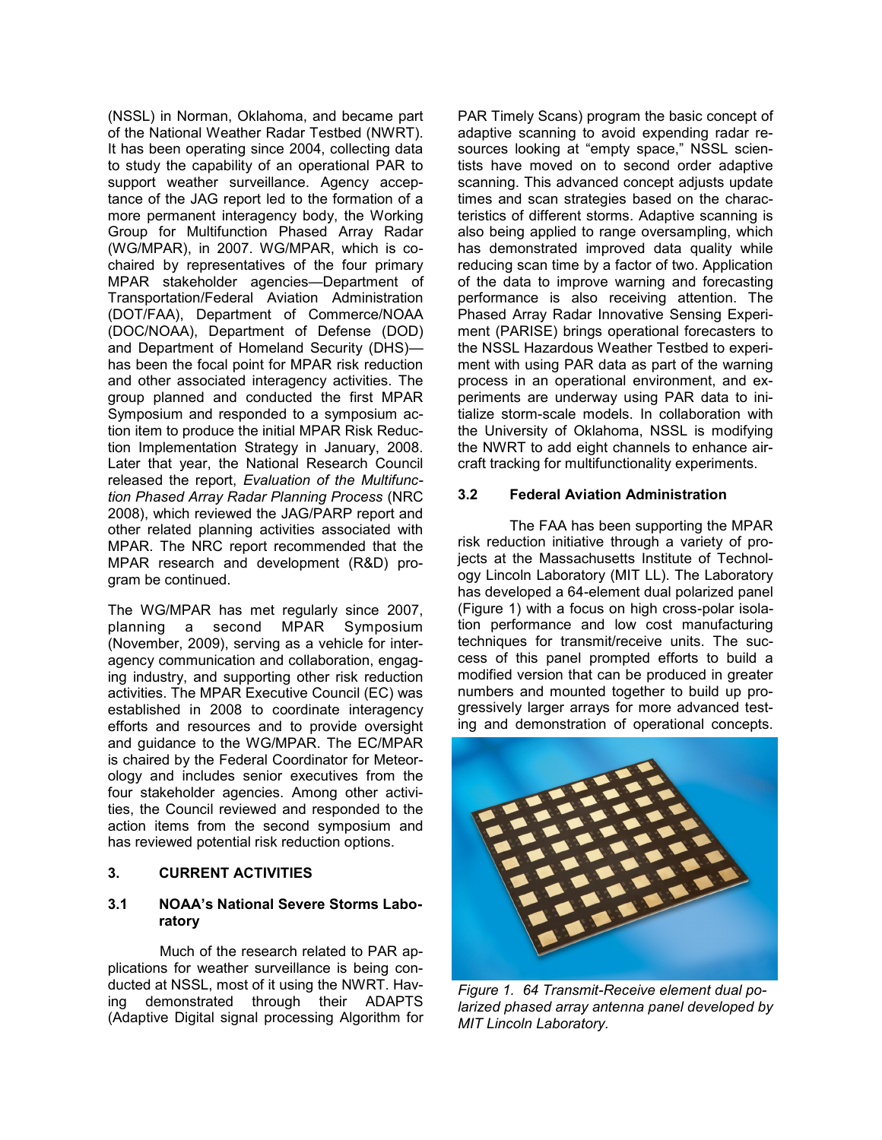(NSSL) in Norman, Oklahoma, and became part of the National Weather Radar Testbed (NWRT). It has been operating since 2004, collecting data to study the capability of an operational PAR to support weather surveillance. Agency acceptance of the JAG report led to the formation of a more permanent interagency body, the Working Group for Multifunction Phased Array Radar (WG/MPAR), in 2007. WG/MPAR, which is cochaired by representatives of the four primary MPAR stakeholder agencies—Department of Transportation/Federal Aviation Administration (DOT/FAA), Department of Commerce/NOAA (DOC/NOAA), Department of Defense (DOD) and Department of Homeland Security (DHS) has been the focal point for MPAR risk reduction and other associated interagency activities. The group planned and conducted the first MPAR Symposium and responded to a symposium action item to produce the initial MPAR Risk Reduction Implementation Strategy in January, 2008. Later that year, the National Research Council released the report, *Evaluation of the Multifunction Phased Array Radar Planning Process* (NRC 2008), which reviewed the JAG/PARP report and other related planning activities associated with MPAR. The NRC report recommended that the MPAR research and development (R&D) program be continued.

The WG/MPAR has met regularly since 2007, planning a second MPAR Symposium (November, 2009), serving as a vehicle for interagency communication and collaboration, engaging industry, and supporting other risk reduction activities. The MPAR Executive Council (EC) was established in 2008 to coordinate interagency efforts and resources and to provide oversight and guidance to the WG/MPAR. The EC/MPAR is chaired by the Federal Coordinator for Meteorology and includes senior executives from the four stakeholder agencies. Among other activities, the Council reviewed and responded to the action items from the second symposium and has reviewed potential risk reduction options.

#### **3. CURRENT ACTIVITIES**

# **3.1 NOAA's National Severe Storms Laboratory**

Much of the research related to PAR applications for weather surveillance is being conducted at NSSL, most of it using the NWRT. Having demonstrated through their ADAPTS (Adaptive Digital signal processing Algorithm for PAR Timely Scans) program the basic concept of adaptive scanning to avoid expending radar resources looking at "empty space," NSSL scientists have moved on to second order adaptive scanning. This advanced concept adjusts update times and scan strategies based on the characteristics of different storms. Adaptive scanning is also being applied to range oversampling, which has demonstrated improved data quality while reducing scan time by a factor of two. Application of the data to improve warning and forecasting performance is also receiving attention. The Phased Array Radar Innovative Sensing Experiment (PARISE) brings operational forecasters to the NSSL Hazardous Weather Testbed to experiment with using PAR data as part of the warning process in an operational environment, and experiments are underway using PAR data to initialize storm-scale models. In collaboration with the University of Oklahoma, NSSL is modifying the NWRT to add eight channels to enhance aircraft tracking for multifunctionality experiments.

# **3.2 Federal Aviation Administration**

The FAA has been supporting the MPAR risk reduction initiative through a variety of projects at the Massachusetts Institute of Technology Lincoln Laboratory (MIT LL). The Laboratory has developed a 64-element dual polarized panel (Figure 1) with a focus on high cross-polar isolation performance and low cost manufacturing techniques for transmit/receive units. The success of this panel prompted efforts to build a modified version that can be produced in greater numbers and mounted together to build up progressively larger arrays for more advanced testing and demonstration of operational concepts.



*Figure 1. 64 Transmit-Receive element dual polarized phased array antenna panel developed by MIT Lincoln Laboratory.*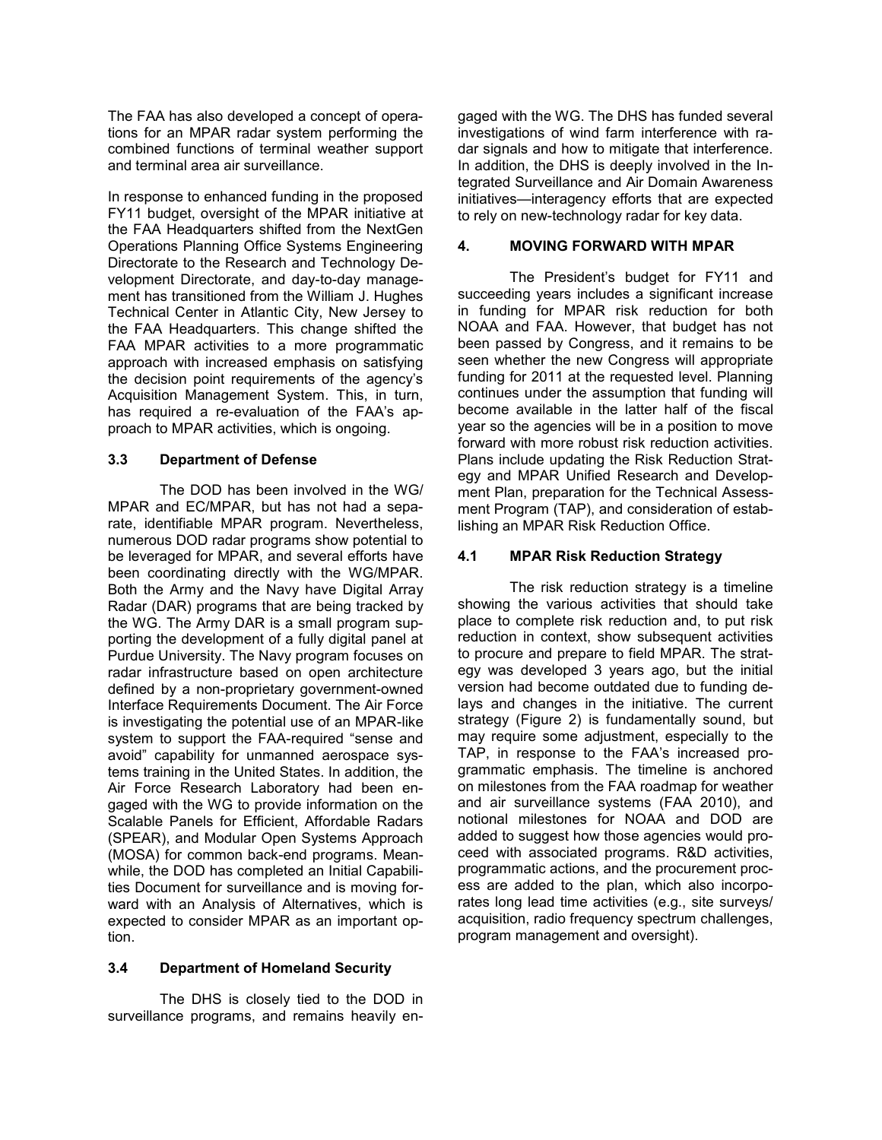The FAA has also developed a concept of operations for an MPAR radar system performing the combined functions of terminal weather support and terminal area air surveillance.

In response to enhanced funding in the proposed FY11 budget, oversight of the MPAR initiative at the FAA Headquarters shifted from the NextGen Operations Planning Office Systems Engineering Directorate to the Research and Technology Development Directorate, and day-to-day management has transitioned from the William J. Hughes Technical Center in Atlantic City, New Jersey to the FAA Headquarters. This change shifted the FAA MPAR activities to a more programmatic approach with increased emphasis on satisfying the decision point requirements of the agency's Acquisition Management System. This, in turn, has required a re-evaluation of the FAA's approach to MPAR activities, which is ongoing.

# **3.3 Department of Defense**

The DOD has been involved in the WG/ MPAR and EC/MPAR, but has not had a separate, identifiable MPAR program. Nevertheless, numerous DOD radar programs show potential to be leveraged for MPAR, and several efforts have been coordinating directly with the WG/MPAR. Both the Army and the Navy have Digital Array Radar (DAR) programs that are being tracked by the WG. The Army DAR is a small program supporting the development of a fully digital panel at Purdue University. The Navy program focuses on radar infrastructure based on open architecture defined by a non-proprietary government-owned Interface Requirements Document. The Air Force is investigating the potential use of an MPAR-like system to support the FAA-required "sense and avoid" capability for unmanned aerospace systems training in the United States. In addition, the Air Force Research Laboratory had been engaged with the WG to provide information on the Scalable Panels for Efficient, Affordable Radars (SPEAR), and Modular Open Systems Approach (MOSA) for common back-end programs. Meanwhile, the DOD has completed an Initial Capabilities Document for surveillance and is moving forward with an Analysis of Alternatives, which is expected to consider MPAR as an important option.

#### **3.4 Department of Homeland Security**

The DHS is closely tied to the DOD in surveillance programs, and remains heavily engaged with the WG. The DHS has funded several investigations of wind farm interference with radar signals and how to mitigate that interference. In addition, the DHS is deeply involved in the Integrated Surveillance and Air Domain Awareness initiatives—interagency efforts that are expected to rely on new-technology radar for key data.

# **4. MOVING FORWARD WITH MPAR**

The President's budget for FY11 and succeeding years includes a significant increase in funding for MPAR risk reduction for both NOAA and FAA. However, that budget has not been passed by Congress, and it remains to be seen whether the new Congress will appropriate funding for 2011 at the requested level. Planning continues under the assumption that funding will become available in the latter half of the fiscal year so the agencies will be in a position to move forward with more robust risk reduction activities. Plans include updating the Risk Reduction Strategy and MPAR Unified Research and Development Plan, preparation for the Technical Assessment Program (TAP), and consideration of establishing an MPAR Risk Reduction Office.

#### **4.1 MPAR Risk Reduction Strategy**

The risk reduction strategy is a timeline showing the various activities that should take place to complete risk reduction and, to put risk reduction in context, show subsequent activities to procure and prepare to field MPAR. The strategy was developed 3 years ago, but the initial version had become outdated due to funding delays and changes in the initiative. The current strategy (Figure 2) is fundamentally sound, but may require some adjustment, especially to the TAP, in response to the FAA's increased programmatic emphasis. The timeline is anchored on milestones from the FAA roadmap for weather and air surveillance systems (FAA 2010), and notional milestones for NOAA and DOD are added to suggest how those agencies would proceed with associated programs. R&D activities, programmatic actions, and the procurement process are added to the plan, which also incorporates long lead time activities (e.g., site surveys/ acquisition, radio frequency spectrum challenges, program management and oversight).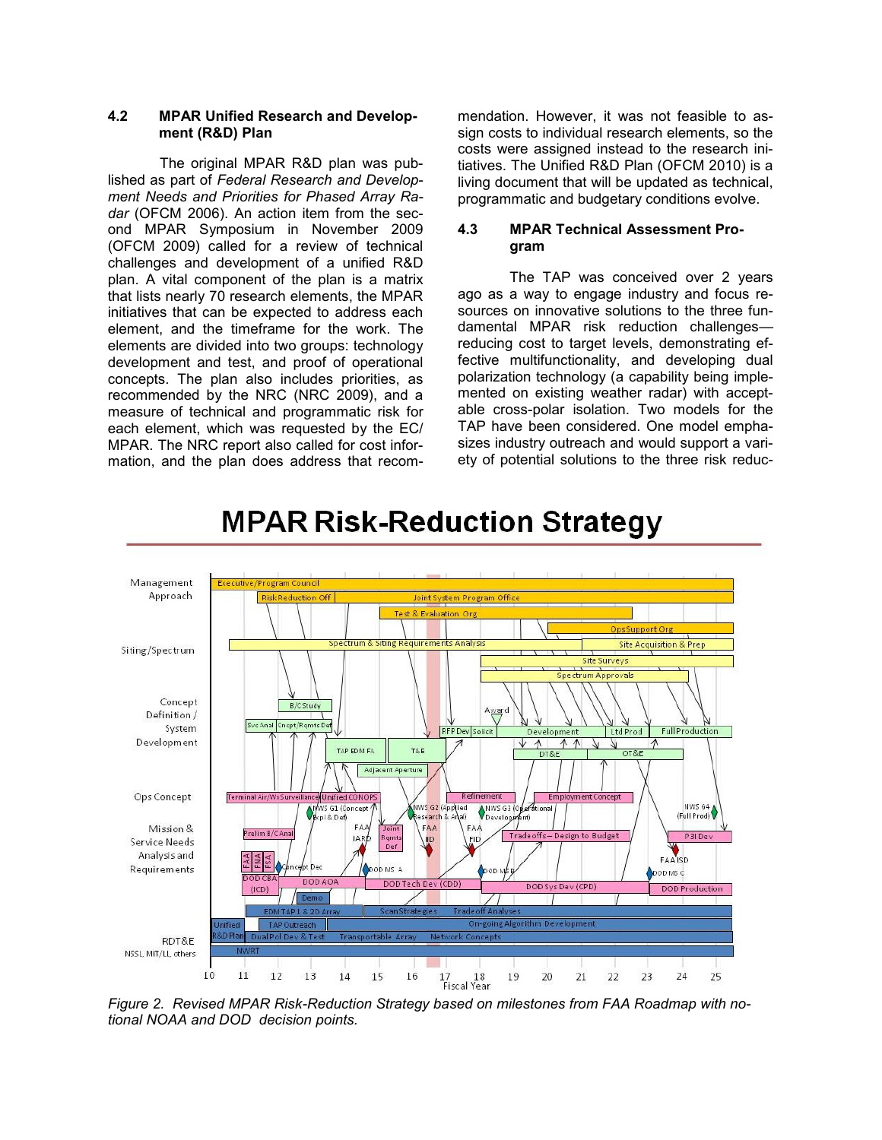# **4.2 MPAR Unified Research and Development (R&D) Plan**

The original MPAR R&D plan was published as part of *Federal Research and Development Needs and Priorities for Phased Array Ra*dar (OFCM 2006). An action item from the second MPAR Symposium in November 2009 (OFCM 2009) called for a review of technical challenges and development of a unified R&D plan. A vital component of the plan is a matrix that lists nearly 70 research elements, the MPAR initiatives that can be expected to address each element, and the timeframe for the work. The elements are divided into two groups: technology development and test, and proof of operational concepts. The plan also includes priorities, as recommended by the NRC (NRC 2009), and a measure of technical and programmatic risk for each element, which was requested by the EC/ MPAR. The NRC report also called for cost information, and the plan does address that recommendation. However, it was not feasible to assign costs to individual research elements, so the costs were assigned instead to the research initiatives. The Unified R&D Plan (OFCM 2010) is a living document that will be updated as technical, programmatic and budgetary conditions evolve.

# **4.3 MPAR Technical Assessment Program**

The TAP was conceived over 2 years ago as a way to engage industry and focus resources on innovative solutions to the three fundamental MPAR risk reduction challenges reducing cost to target levels, demonstrating effective multifunctionality, and developing dual polarization technology (a capability being implemented on existing weather radar) with acceptable cross-polar isolation. Two models for the TAP have been considered. One model emphasizes industry outreach and would support a variety of potential solutions to the three risk reduc-



# **MPAR Risk-Reduction Strategy**

*Figure 2. Revised MPAR Risk-Reduction Strategy based on milestones from FAA Roadmap with notional NOAA and DOD decision points.*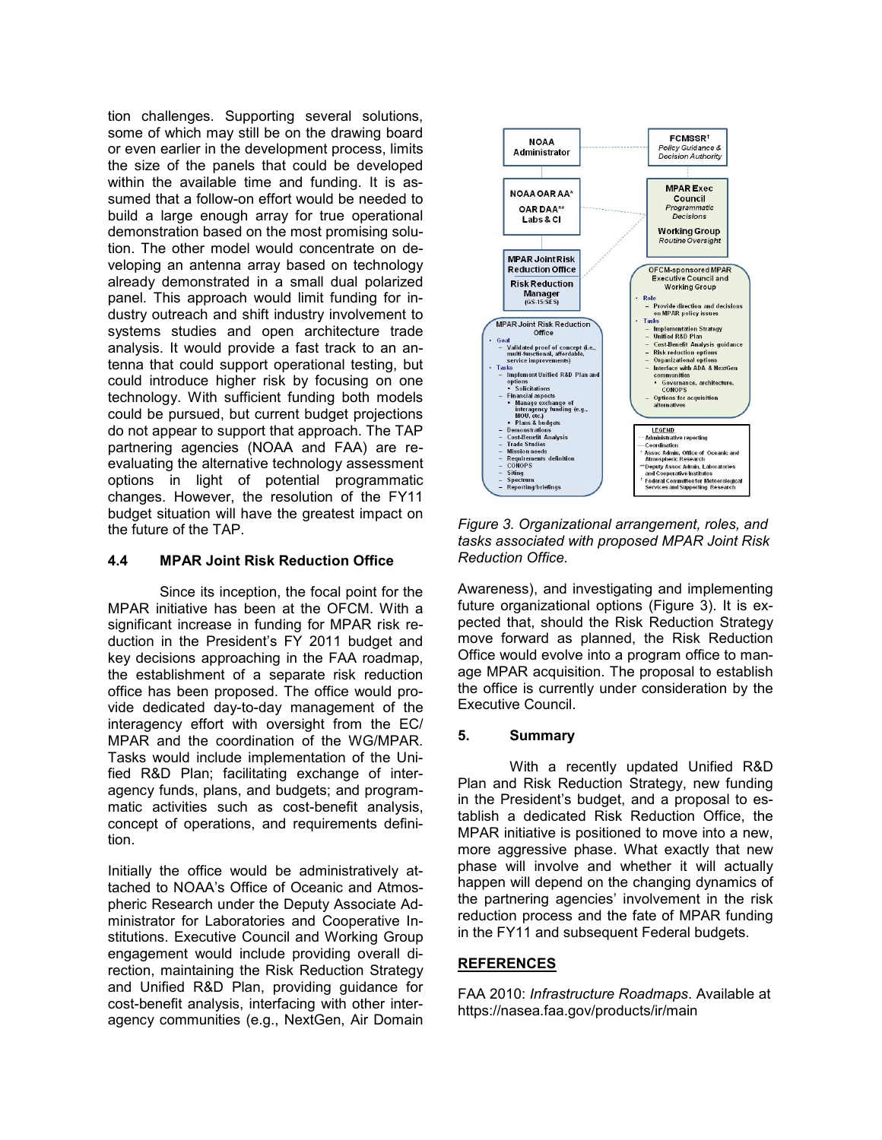tion challenges. Supporting several solutions, some of which may still be on the drawing board or even earlier in the development process, limits the size of the panels that could be developed within the available time and funding. It is assumed that a follow-on effort would be needed to build a large enough array for true operational demonstration based on the most promising solution. The other model would concentrate on developing an antenna array based on technology already demonstrated in a small dual polarized panel. This approach would limit funding for industry outreach and shift industry involvement to systems studies and open architecture trade analysis. It would provide a fast track to an antenna that could support operational testing, but could introduce higher risk by focusing on one technology. With sufficient funding both models could be pursued, but current budget projections do not appear to support that approach. The TAP partnering agencies (NOAA and FAA) are reevaluating the alternative technology assessment options in light of potential programmatic changes. However, the resolution of the FY11 budget situation will have the greatest impact on the future of the TAP.

# **4.4 MPAR Joint Risk Reduction Office**

Since its inception, the focal point for the MPAR initiative has been at the OFCM. With a significant increase in funding for MPAR risk reduction in the President's FY 2011 budget and key decisions approaching in the FAA roadmap, the establishment of a separate risk reduction office has been proposed. The office would provide dedicated day-to-day management of the interagency effort with oversight from the EC/ MPAR and the coordination of the WG/MPAR. Tasks would include implementation of the Unified R&D Plan; facilitating exchange of interagency funds, plans, and budgets; and programmatic activities such as cost-benefit analysis, concept of operations, and requirements definition.

Initially the office would be administratively attached to NOAA's Office of Oceanic and Atmospheric Research under the Deputy Associate Administrator for Laboratories and Cooperative Institutions. Executive Council and Working Group engagement would include providing overall direction, maintaining the Risk Reduction Strategy and Unified R&D Plan, providing guidance for cost-benefit analysis, interfacing with other interagency communities (e.g., NextGen, Air Domain



*Figure 3. Organizational arrangement, roles, and tasks associated with proposed MPAR Joint Risk Reduction Office.*

Awareness), and investigating and implementing future organizational options (Figure 3). It is expected that, should the Risk Reduction Strategy move forward as planned, the Risk Reduction Office would evolve into a program office to manage MPAR acquisition. The proposal to establish the office is currently under consideration by the Executive Council.

#### **5. Summary**

With a recently updated Unified R&D Plan and Risk Reduction Strategy, new funding in the President's budget, and a proposal to establish a dedicated Risk Reduction Office, the MPAR initiative is positioned to move into a new, more aggressive phase. What exactly that new phase will involve and whether it will actually happen will depend on the changing dynamics of the partnering agencies' involvement in the risk reduction process and the fate of MPAR funding in the FY11 and subsequent Federal budgets.

#### **REFERENCES**

FAA 2010: *Infrastructure Roadmaps*. Available at https://nasea.faa.gov/products/ir/main